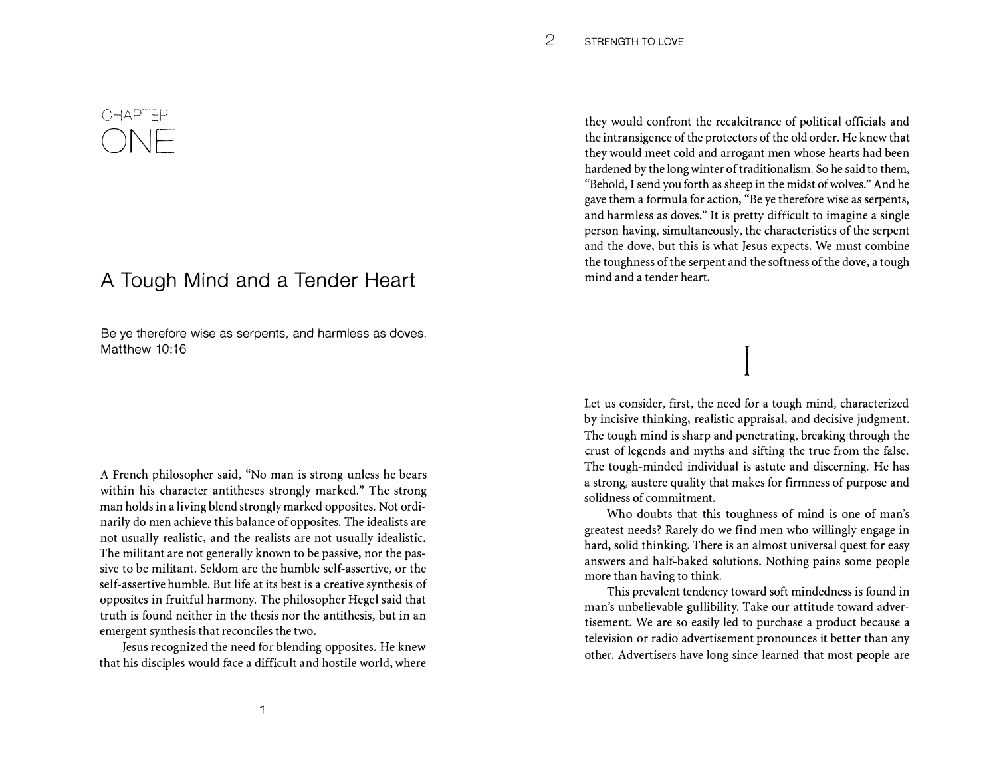2 STRENGTH TO LOVE

#### CHAPTER ONE

#### **A Tough Mind and a Tender Heart**

Be ye therefore wise as serpents, and harmless as doves. Matthew 10:16

A French philosopher said, "No man is strong unless he bears within his character antitheses strongly marked." The strong man holds in a living blend strongly marked opposites. Not ordinarily do men achieve this balance of opposites. The idealists are not usually realistic, and the realists are not usually idealistic. The militant are not generally known to be passive, nor the passive to be militant. Seldom are the humble self-assertive, or the self-assertive humble. But life at its best is a creative synthesis of opposites in fruitful harmony. The philosopher Hegel said that truth is found neither in the thesis nor the antithesis, but in an emergent synthesis that reconciles the two.

Jesus recognized the need for blending opposites. He knew that his disciples would face a difficult and hostile world, where they would confront the recalcitrance of political officials and the intransigence of the protectors of the old order. He knew that they would meet cold and arrogant men whose hearts had been hardened by the long winter of traditionalism. So he said to them, "Behold, I send you forth as sheep in the midst of wolves." And he gave them a formula for action, "Be ye therefore wise as serpents, and harmless as doves." It is pretty difficult to imagine a single person having, simultaneously, the characteristics of the serpent and the dove, but this is what Jesus expects. We must combine the toughness of the serpent and the softness of the dove, a tough mind and a tender heart.

## I

Let us consider, first, the need for a tough mind, characterized by incisive thinking, realistic appraisal, and decisive judgment. The tough mind is sharp and penetrating, breaking through the crust of legends and myths and sifting the true from the false. The tough-minded individual is astute and discerning. He has a strong, austere quality that makes for firmness of purpose and solidness of commitment.

Who doubts that this toughness of mind is one of man's greatest needs? Rarely do we find men who willingly engage in hard, solid thinking. There is an almost universal quest for easy answers and half-baked solutions. Nothing pains some people more than having to think.

This prevalent tendency toward soft mindedness is found in man's unbelievable gullibility. Take our attitude toward advertisement. We are so easily led to purchase a product because a television or radio advertisement pronounces it better than any other. Advertisers have long since learned that most people are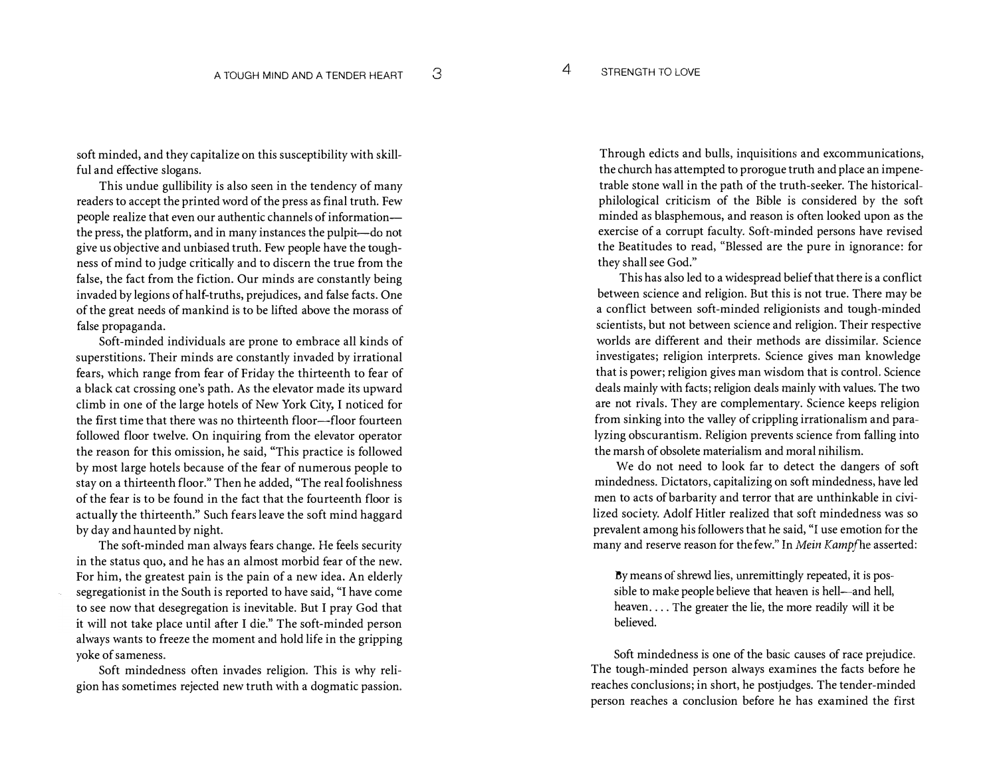soft minded, and they capitalize on this susceptibility with skillful and effective slogans.

This undue gullibility is also seen in the tendency of many readers to accept the printed word of the press as final truth. Few people realize that even our authentic channels of informationthe press, the platform, and in many instances the pulpit-do not give us objective and unbiased truth. Few people have the toughness of mind to judge critically and to discern the true from the false, the fact from the fiction. Our minds are constantly being invaded by legions of half-truths, prejudices, and false facts. One of the great needs of mankind is to be lifted above the morass of false propaganda.

Soft-minded individuals are prone to embrace all kinds of superstitions. Their minds are constantly invaded by irrational fears, which range from fear of Friday the thirteenth to fear of a black cat crossing one's path. As the elevator made its upward climb in one of the large hotels of New York City, I noticed for the first time that there was no thirteenth floor-floor fourteen followed floor twelve. On inquiring from the elevator operator the reason for this omission, he said, "This practice is followed by most large hotels because of the fear of numerous people to stay on a thirteenth floor." Then he added, "The real foolishness of the fear is to be found in the fact that the fourteenth floor is actually the thirteenth." Such fears leave the soft mind haggard by day and haunted by night.

The soft-minded man always fears change. He feels security in the status quo, and he has an almost morbid fear of the new. For him, the greatest pain is the pain of a new idea. An elderly segregationist in the South is reported to have said, "I have come to see now that desegregation is inevitable. But I pray God that it will not take place until after I die." The soft-minded person always wants to freeze the moment and hold life in the gripping yoke of sameness.

Soft mindedness often invades religion. This is why religion has sometimes rejected new truth with a dogmatic passion.

Through edicts and bulls, inquisitions and excommunications, the church has attempted to prorogue truth and place an impenetrable stone wall in the path of the truth-seeker. The historicalphilological criticism of the Bible is considered by the soft minded as blasphemous, and reason is often looked upon as the exercise of a corrupt faculty. Soft-minded persons have revised the Beatitudes to read, "Blessed are the pure in ignorance: for they shall see God."

This has also led to a widespread belief that there is a conflict between science and religion. But this is not true. There may be a conflict between soft-minded religionists and tough-minded scientists, but not between science and religion. Their respective worlds are different and their methods are dissimilar. Science investigates; religion interprets. Science gives man knowledge that is power; religion gives man wisdom that is control. Science deals mainly with facts; religion deals mainly with values. The two are not rivals. They are complementary. Science keeps religion from sinking into the valley of crippling irrationalism and paralyzing obscurantism. Religion prevents science from falling into the marsh of obsolete materialism and moral nihilism.

We do not need to look far to detect the dangers of soft mindedness. Dictators, capitalizing on soft mindedness, have led men to acts of barbarity and terror that are unthinkable in civilized society. Adolf Hitler realized that soft mindedness was so prevalent among his followers that he said, "I use emotion for the many and reserve reason for the few." In *Mein Kampfhe* asserted:

By means of shrewd lies, unremittingly repeated, it is possible to make people believe that heaven is hell-and hell, heaven.... The greater the lie, the more readily will it be believed.

Soft mindedness is one of the basic causes of race prejudice. The tough-minded person always examines the facts before he reaches conclusions; in short, he postjudges. The tender-minded person reaches a conclusion before he has examined the first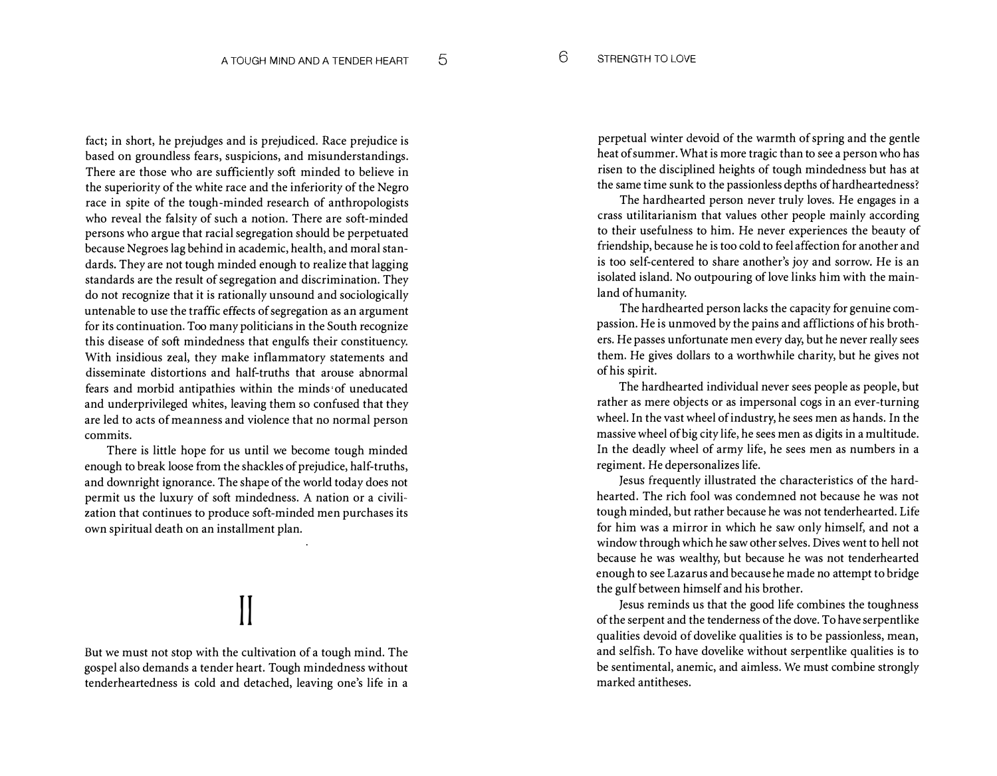5 6 STRENGTH TO LOVE

fact; in short, he prejudges and is prejudiced. Race prejudice is based on groundless fears, suspicions, and misunderstandings. There are those who are sufficiently soft minded to believe in the superiority of the white race and the inferiority of the Negro race in spite of the tough-minded research of anthropologists who reveal the falsity of such a notion. There are soft-minded persons who argue that racial segregation should be perpetuated because Negroes lag behind in academic, health, and moral standards. They are not tough minded enough to realize that lagging standards are the result of segregation and discrimination. They do not recognize that it is rationally unsound and sociologically untenable to use the traffic effects of segregation as an argument for its continuation. Too many politicians in the South recognize this disease of soft mindedness that engulfs their constituency. With insidious zeal, they make inflammatory statements and disseminate distortions and half-truths that arouse abnormal fears and morbid antipathies within the minds of uneducated and underprivileged whites, leaving them so confused that they are led to acts of meanness and violence that no normal person commits.

There is little hope for us until we become tough minded enough to break loose from the shackles of prejudice, half-truths, and downright ignorance. The shape of the world today does not permit us the luxury of soft mindedness. A nation or a civilization that continues to produce soft-minded men purchases its own spiritual death on an installment plan.

# II

But we must not stop with the cultivation of a tough mind. The gospel also demands a tender heart. Tough mindedness without tenderheartedness is cold and detached, leaving one's life in a

perpetual winter devoid of the warmth of spring and the gentle heat of summer. What is more tragic than to see a person who has risen to the disciplined heights of tough mindedness but has at the same time sunk to the passionless depths of hardheartedness?

The hardhearted person never truly loves. He engages in a crass utilitarianism that values other people mainly according to their usefulness to him. He never experiences the beauty of friendship, because he is too cold to feel affection for another and is too self-centered to share another's joy and sorrow. He is an isolated island. No outpouring of love links him with the mainland of humanity.

The hardhearted person lacks the capacity for genuine compassion. He is unmoved by the pains and afflictions of his brothers. He passes unfortunate men every day, but he never really sees them. He gives dollars to a worthwhile charity, but he gives not of his spirit.

The hardhearted individual never sees people as people, but rather as mere objects or as impersonal cogs in an ever-turning wheel. In the vast wheel of industry, he sees men as hands. In the massive wheel of big city life, he sees men as digits in a multitude. In the deadly wheel of army life, he sees men as numbers in a regiment. He depersonalizes life.

Jesus frequently illustrated the characteristics of the hardhearted. The rich fool was condemned not because he was not tough minded, but rather because he was not tenderhearted. Life for him was a mirror in which he saw only himself, and not a window through which he saw other selves. Dives went to hell not because he was wealthy, but because he was not tenderhearted enough to see Lazarus and because he made no attempt to bridge the gulf between himself and his brother.

Jesus reminds us that the good life combines the toughness of the serpent and the tenderness of the dove. To have serpentlike qualities devoid of dovelike qualities is to be passionless, mean, and selfish. To have dovelike without serpentlike qualities is to be sentimental, anemic, and aimless. We must combine strongly marked antitheses.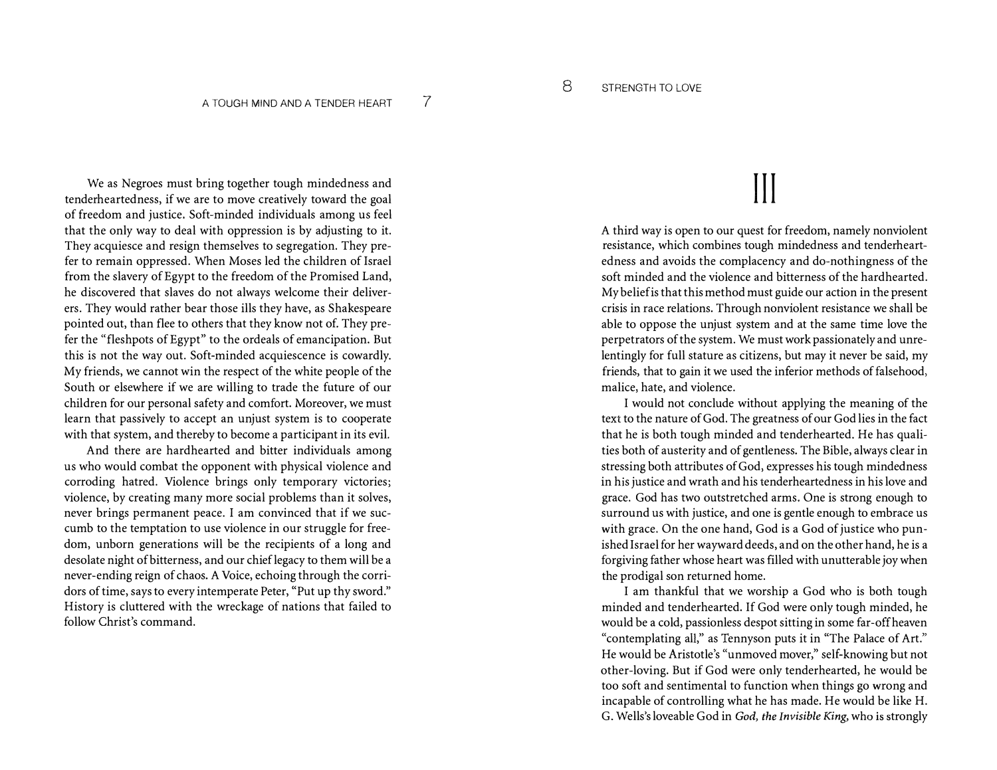7

We as Negroes must bring together tough mindedness and tenderheartedness, if we are to move creatively toward the goal of freedom and justice. Soft-minded individuals among us feel that the only way to deal with oppression is by adjusting to it. They acquiesce and resign themselves to segregation. They prefer to remain oppressed. When Moses led the children of Israel from the slavery of Egypt to the freedom of the Promised Land, he discovered that slaves do not always welcome their deliverers. They would rather bear those ills they have, as Shakespeare pointed out, than flee to others that they know not of. They prefer the "fleshpots of Egypt" to the ordeals of emancipation. But this is not the way out. Soft-minded acquiescence is cowardly. My friends, we cannot win the respect of the white people of the South or elsewhere if we are willing to trade the future of our children for our personal safety and comfort. Moreover, we must learn that passively to accept an unjust system is to cooperate with that system, and thereby to become a participant in its evil.

And there are hardhearted and bitter individuals among us who would combat the opponent with physical violence and corroding hatred. Violence brings only temporary victories; violence, by creating many more social problems than it solves, never brings permanent peace. I am convinced that if we succumb to the temptation to use violence in our struggle for freedom, unborn generations will be the recipients of a long and desolate night of bitterness, and our chief legacy to them will be a never-ending reign of chaos. A Voice, echoing through the corridors of time, says to every intemperate Peter, "Put up thy sword." History is cluttered with the wreckage of nations that failed to follow Christ's command.

### III

A third way is open to our quest for freedom, namely nonviolent resistance, which combines tough mindedness and tenderheartedness and avoids the complacency and do-nothingness of the soft minded and the violence and bitterness of the hardhearted. My belief is that this method must guide our action in the present crisis in race relations. Through nonviolent resistance we shall be able to oppose the unjust system and at the same time love the perpetrators of the system. We must work passionately and unrelentingly for full stature as citizens, but may it never be said, my friends, that to gain it we used the inferior methods of falsehood, malice, hate, and violence.

I would not conclude without applying the meaning of the text to the nature of God. The greatness of our God lies in the fact that he is both tough minded and tenderhearted. He has qualities both of austerity and of gentleness. The Bible, always clear in stressing both attributes of God, expresses his tough mindedness in his justice and wrath and his tenderheartedness in his love and grace. God has two outstretched arms. One is strong enough to surround us with justice, and one is gentle enough to embrace us with grace. On the one hand, God is a God of justice who punished Israel for her wayward deeds, and on the other hand, he is a forgiving father whose heart was filled with unutterable joy when the prodigal son returned home.

I am thankful that we worship a God who is both tough minded and tenderhearted. If God were only tough minded, he would be a cold, passionless despot sitting in some far-off heaven "contemplating all," as Tennyson puts it in "The Palace of Art." He would be Aristotle's "unmoved mover," self-knowing but not other-loving. But if God were only tenderhearted, he would be too soft and sentimental to function when things go wrong and incapable of controlling what he has made. He would be like H. G. Wells's loveable God in *God, the Invisible King,* who is strongly